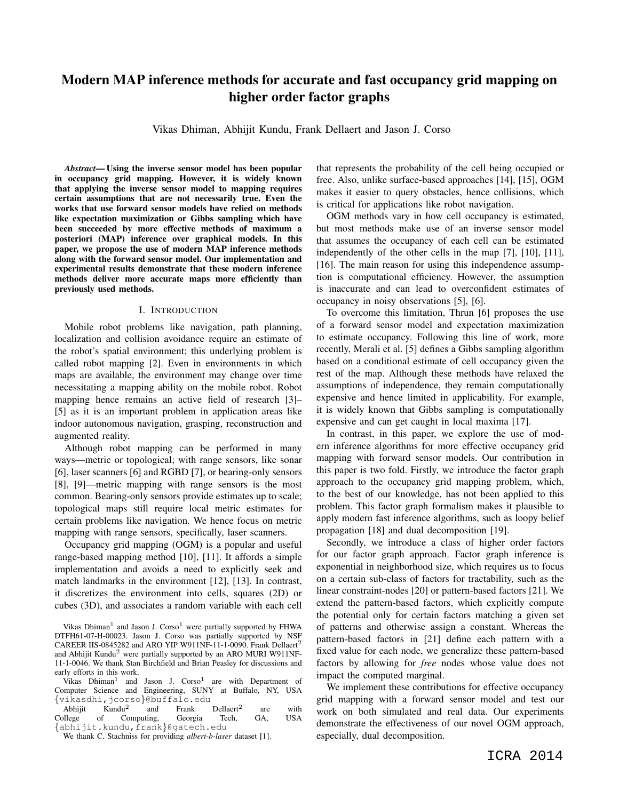# Modern MAP inference methods for accurate and fast occupancy grid mapping on higher order factor graphs

Vikas Dhiman, Abhijit Kundu, Frank Dellaert and Jason J. Corso

*Abstract*— Using the inverse sensor model has been popular in occupancy grid mapping. However, it is widely known that applying the inverse sensor model to mapping requires certain assumptions that are not necessarily true. Even the works that use forward sensor models have relied on methods like expectation maximization or Gibbs sampling which have been succeeded by more effective methods of maximum a posteriori (MAP) inference over graphical models. In this paper, we propose the use of modern MAP inference methods along with the forward sensor model. Our implementation and experimental results demonstrate that these modern inference methods deliver more accurate maps more efficiently than previously used methods.

## I. INTRODUCTION

Mobile robot problems like navigation, path planning, localization and collision avoidance require an estimate of the robot's spatial environment; this underlying problem is called robot mapping [2]. Even in environments in which maps are available, the environment may change over time necessitating a mapping ability on the mobile robot. Robot mapping hence remains an active field of research [3]– [5] as it is an important problem in application areas like indoor autonomous navigation, grasping, reconstruction and augmented reality.

Although robot mapping can be performed in many ways—metric or topological; with range sensors, like sonar [6], laser scanners [6] and RGBD [7], or bearing-only sensors [8], [9]—metric mapping with range sensors is the most common. Bearing-only sensors provide estimates up to scale; topological maps still require local metric estimates for certain problems like navigation. We hence focus on metric mapping with range sensors, specifically, laser scanners.

Occupancy grid mapping (OGM) is a popular and useful range-based mapping method [10], [11]. It affords a simple implementation and avoids a need to explicitly seek and match landmarks in the environment [12], [13]. In contrast, it discretizes the environment into cells, squares (2D) or cubes (3D), and associates a random variable with each cell

Vikas Dhiman<sup>1</sup> and Jason J. Corso<sup>1</sup> were partially supported by FHWA DTFH61-07-H-00023. Jason J. Corso was partially supported by NSF CAREER IIS-0845282 and ARO YIP W911NF-11-1-0090. Frank Dellaert<sup>2</sup> and Abhijit Kundu<sup>2</sup> were partially supported by an ARO MURI W911NF-11-1-0046. We thank Stan Birchfield and Brian Peasley for discussions and early efforts in this work.

Vikas Dhiman<sup>1</sup> and Jason J. Corso<sup>1</sup> are with Department of Computer Science and Engineering, SUNY at Buffalo, NY, USA {vikasdhi,jcorso}@buffalo.edu

Abhijit  $Kundu<sup>2</sup>$ <br>bllege of Co and Frank Dellaert<sup>2</sup> are with College of Computing, Georgia Tech, GA, USA {abhijit.kundu,frank}@gatech.edu

that represents the probability of the cell being occupied or free. Also, unlike surface-based approaches [14], [15], OGM makes it easier to query obstacles, hence collisions, which is critical for applications like robot navigation.

OGM methods vary in how cell occupancy is estimated, but most methods make use of an inverse sensor model that assumes the occupancy of each cell can be estimated independently of the other cells in the map [7], [10], [11], [16]. The main reason for using this independence assumption is computational efficiency. However, the assumption is inaccurate and can lead to overconfident estimates of occupancy in noisy observations [5], [6].

To overcome this limitation, Thrun [6] proposes the use of a forward sensor model and expectation maximization to estimate occupancy. Following this line of work, more recently, Merali et al. [5] defines a Gibbs sampling algorithm based on a conditional estimate of cell occupancy given the rest of the map. Although these methods have relaxed the assumptions of independence, they remain computationally expensive and hence limited in applicability. For example, it is widely known that Gibbs sampling is computationally expensive and can get caught in local maxima [17].

In contrast, in this paper, we explore the use of modern inference algorithms for more effective occupancy grid mapping with forward sensor models. Our contribution in this paper is two fold. Firstly, we introduce the factor graph approach to the occupancy grid mapping problem, which, to the best of our knowledge, has not been applied to this problem. This factor graph formalism makes it plausible to apply modern fast inference algorithms, such as loopy belief propagation [18] and dual decomposition [19].

Secondly, we introduce a class of higher order factors for our factor graph approach. Factor graph inference is exponential in neighborhood size, which requires us to focus on a certain sub-class of factors for tractability, such as the linear constraint-nodes [20] or pattern-based factors [21]. We extend the pattern-based factors, which explicitly compute the potential only for certain factors matching a given set of patterns and otherwise assign a constant. Whereas the pattern-based factors in [21] define each pattern with a fixed value for each node, we generalize these pattern-based factors by allowing for *free* nodes whose value does not impact the computed marginal.

We implement these contributions for effective occupancy grid mapping with a forward sensor model and test our work on both simulated and real data. Our experiments demonstrate the effectiveness of our novel OGM approach, especially, dual decomposition.

We thank C. Stachniss for providing *albert-b-laser* dataset [1].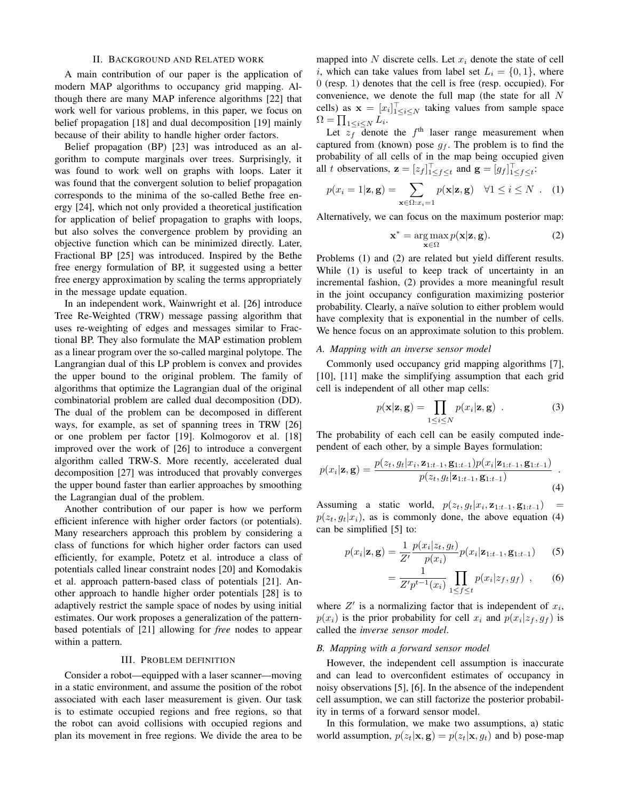## II. BACKGROUND AND RELATED WORK

A main contribution of our paper is the application of modern MAP algorithms to occupancy grid mapping. Although there are many MAP inference algorithms [22] that work well for various problems, in this paper, we focus on belief propagation [18] and dual decomposition [19] mainly because of their ability to handle higher order factors.

Belief propagation (BP) [23] was introduced as an algorithm to compute marginals over trees. Surprisingly, it was found to work well on graphs with loops. Later it was found that the convergent solution to belief propagation corresponds to the minima of the so-called Bethe free energy [24], which not only provided a theoretical justification for application of belief propagation to graphs with loops, but also solves the convergence problem by providing an objective function which can be minimized directly. Later, Fractional BP [25] was introduced. Inspired by the Bethe free energy formulation of BP, it suggested using a better free energy approximation by scaling the terms appropriately in the message update equation.

In an independent work, Wainwright et al. [26] introduce Tree Re-Weighted (TRW) message passing algorithm that uses re-weighting of edges and messages similar to Fractional BP. They also formulate the MAP estimation problem as a linear program over the so-called marginal polytope. The Langrangian dual of this LP problem is convex and provides the upper bound to the original problem. The family of algorithms that optimize the Lagrangian dual of the original combinatorial problem are called dual decomposition (DD). The dual of the problem can be decomposed in different ways, for example, as set of spanning trees in TRW [26] or one problem per factor [19]. Kolmogorov et al. [18] improved over the work of [26] to introduce a convergent algorithm called TRW-S. More recently, accelerated dual decomposition [27] was introduced that provably converges the upper bound faster than earlier approaches by smoothing the Lagrangian dual of the problem.

Another contribution of our paper is how we perform efficient inference with higher order factors (or potentials). Many researchers approach this problem by considering a class of functions for which higher order factors can used efficiently, for example, Potetz et al. introduce a class of potentials called linear constraint nodes [20] and Komodakis et al. approach pattern-based class of potentials [21]. Another approach to handle higher order potentials [28] is to adaptively restrict the sample space of nodes by using initial estimates. Our work proposes a generalization of the patternbased potentials of [21] allowing for *free* nodes to appear within a pattern.

## III. PROBLEM DEFINITION

Consider a robot—equipped with a laser scanner—moving in a static environment, and assume the position of the robot associated with each laser measurement is given. Our task is to estimate occupied regions and free regions, so that the robot can avoid collisions with occupied regions and plan its movement in free regions. We divide the area to be

mapped into  $N$  discrete cells. Let  $x_i$  denote the state of cell i, which can take values from label set  $L_i = \{0, 1\}$ , where 0 (resp. 1) denotes that the cell is free (resp. occupied). For convenience, we denote the full map (the state for all N cells) as  $\mathbf{x} = [x_i]_{1 \leq i \leq N}^{\top}$  taking values from sample space  $\Omega = \prod_{1 \leq i \leq N} L_i.$ 

Let  $z_f^-$  denote the  $f^{\text{th}}$  laser range measurement when captured from (known) pose  $g_f$ . The problem is to find the probability of all cells of in the map being occupied given all t observations,  $\mathbf{z} = [z_f]_{1 \leq f \leq t}^{\top}$  and  $\mathbf{g} = [g_f]_{1 \leq f \leq t}^{\top}$ .

$$
p(x_i = 1 | \mathbf{z}, \mathbf{g}) = \sum_{\mathbf{x} \in \Omega: x_i = 1} p(\mathbf{x} | \mathbf{z}, \mathbf{g}) \quad \forall 1 \le i \le N \quad . \quad (1)
$$

Alternatively, we can focus on the maximum posterior map:

$$
\mathbf{x}^* = \arg\max_{\mathbf{x} \in \Omega} p(\mathbf{x}|\mathbf{z}, \mathbf{g}).
$$
 (2)

Problems (1) and (2) are related but yield different results. While (1) is useful to keep track of uncertainty in an incremental fashion, (2) provides a more meaningful result in the joint occupancy configuration maximizing posterior probability. Clearly, a naïve solution to either problem would have complexity that is exponential in the number of cells. We hence focus on an approximate solution to this problem.

## *A. Mapping with an inverse sensor model*

Commonly used occupancy grid mapping algorithms [7], [10], [11] make the simplifying assumption that each grid cell is independent of all other map cells:

$$
p(\mathbf{x}|\mathbf{z}, \mathbf{g}) = \prod_{1 \le i \le N} p(x_i|\mathbf{z}, \mathbf{g}) \quad . \tag{3}
$$

The probability of each cell can be easily computed independent of each other, by a simple Bayes formulation:

$$
p(x_i|\mathbf{z}, \mathbf{g}) = \frac{p(z_t, g_t|x_i, \mathbf{z}_{1:t-1}, \mathbf{g}_{1:t-1})p(x_i|\mathbf{z}_{1:t-1}, \mathbf{g}_{1:t-1})}{p(z_t, g_t|\mathbf{z}_{1:t-1}, \mathbf{g}_{1:t-1})}.
$$
\n(4)

Assuming a static world,  $p(z_t, g_t | x_i, \mathbf{z}_{1:t-1}, \mathbf{g}_{1:t-1}) =$  $p(z_t, g_t|x_i)$ , as is commonly done, the above equation (4) can be simplified [5] to:

$$
p(x_i|\mathbf{z}, \mathbf{g}) = \frac{1}{Z'} \frac{p(x_i|z_t, g_t)}{p(x_i)} p(x_i|\mathbf{z}_{1:t-1}, \mathbf{g}_{1:t-1})
$$
 (5)

$$
= \frac{1}{Z'p^{t-1}(x_i)} \prod_{1 \le f \le t} p(x_i|z_f, g_f) , \qquad (6)
$$

where  $Z'$  is a normalizing factor that is independent of  $x_i$ ,  $p(x_i)$  is the prior probability for cell  $x_i$  and  $p(x_i|z_f, g_f)$  is called the *inverse sensor model*.

## *B. Mapping with a forward sensor model*

However, the independent cell assumption is inaccurate and can lead to overconfident estimates of occupancy in noisy observations [5], [6]. In the absence of the independent cell assumption, we can still factorize the posterior probability in terms of a forward sensor model.

In this formulation, we make two assumptions, a) static world assumption,  $p(z_t|\mathbf{x}, \mathbf{g}) = p(z_t|\mathbf{x}, q_t)$  and b) pose-map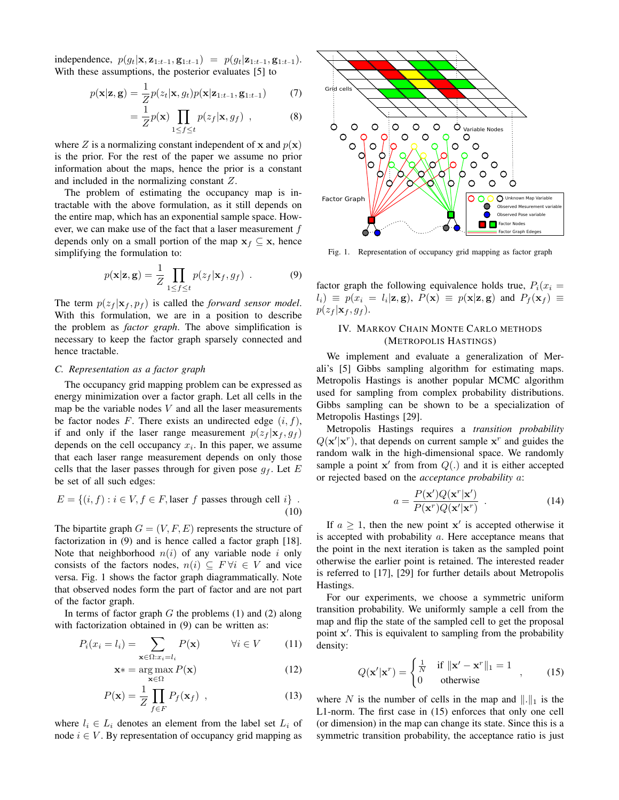independence,  $p(g_t|\mathbf{x}, \mathbf{z}_{1:t-1}, \mathbf{g}_{1:t-1}) = p(g_t|\mathbf{z}_{1:t-1}, \mathbf{g}_{1:t-1}).$ With these assumptions, the posterior evaluates [5] to

$$
p(\mathbf{x}|\mathbf{z}, \mathbf{g}) = \frac{1}{Z}p(z_t|\mathbf{x}, g_t)p(\mathbf{x}|\mathbf{z}_{1:t-1}, \mathbf{g}_{1:t-1})
$$
(7)

$$
= \frac{1}{Z} p(\mathbf{x}) \prod_{1 \le f \le t} p(z_f | \mathbf{x}, g_f) , \qquad (8)
$$

where Z is a normalizing constant independent of x and  $p(x)$ is the prior. For the rest of the paper we assume no prior information about the maps, hence the prior is a constant and included in the normalizing constant Z.

The problem of estimating the occupancy map is intractable with the above formulation, as it still depends on the entire map, which has an exponential sample space. However, we can make use of the fact that a laser measurement  $f$ depends only on a small portion of the map  $x_f \subseteq x$ , hence simplifying the formulation to:

$$
p(\mathbf{x}|\mathbf{z}, \mathbf{g}) = \frac{1}{Z} \prod_{1 \le f \le t} p(z_f | \mathbf{x}_f, g_f) \tag{9}
$$

The term  $p(z_f | x_f, p_f)$  is called the *forward sensor model*. With this formulation, we are in a position to describe the problem as *factor graph*. The above simplification is necessary to keep the factor graph sparsely connected and hence tractable.

### *C. Representation as a factor graph*

The occupancy grid mapping problem can be expressed as energy minimization over a factor graph. Let all cells in the map be the variable nodes  $V$  and all the laser measurements be factor nodes F. There exists an undirected edge  $(i, f)$ , if and only if the laser range measurement  $p(z_f | x_f, g_f)$ depends on the cell occupancy  $x_i$ . In this paper, we assume that each laser range measurement depends on only those cells that the laser passes through for given pose  $g_f$ . Let E be set of all such edges:

$$
E = \{(i, f) : i \in V, f \in F, \text{laser } f \text{ passes through cell } i\}.
$$
\n(10)

The bipartite graph  $G = (V, F, E)$  represents the structure of factorization in (9) and is hence called a factor graph [18]. Note that neighborhood  $n(i)$  of any variable node i only consists of the factors nodes,  $n(i) \subseteq F \forall i \in V$  and vice versa. Fig. 1 shows the factor graph diagrammatically. Note that observed nodes form the part of factor and are not part of the factor graph.

In terms of factor graph  $G$  the problems (1) and (2) along with factorization obtained in  $(9)$  can be written as:

$$
P_i(x_i = l_i) = \sum_{\mathbf{x} \in \Omega: x_i = l_i} P(\mathbf{x}) \qquad \forall i \in V \qquad (11)
$$

$$
\mathbf{x}^* = \arg\max_{\mathbf{x} \in \Omega} P(\mathbf{x})
$$
 (12)

$$
P(\mathbf{x}) = \frac{1}{Z} \prod_{f \in F} P_f(\mathbf{x}_f) , \qquad (13)
$$

where  $l_i \in L_i$  denotes an element from the label set  $L_i$  of node  $i \in V$ . By representation of occupancy grid mapping as



Fig. 1. Representation of occupancy grid mapping as factor graph

factor graph the following equivalence holds true,  $P_i(x_i =$  $l_i) \equiv p(x_i = l_i | \mathbf{z}, \mathbf{g})$ ,  $P(\mathbf{x}) \equiv p(\mathbf{x} | \mathbf{z}, \mathbf{g})$  and  $P_f(\mathbf{x}_f) \equiv$  $p(z_f | \mathbf{x}_f, g_f)$ .

# IV. MARKOV CHAIN MONTE CARLO METHODS (METROPOLIS HASTINGS)

We implement and evaluate a generalization of Merali's [5] Gibbs sampling algorithm for estimating maps. Metropolis Hastings is another popular MCMC algorithm used for sampling from complex probability distributions. Gibbs sampling can be shown to be a specialization of Metropolis Hastings [29].

Metropolis Hastings requires a *transition probability*  $Q(\mathbf{x}'|\mathbf{x}^r)$ , that depends on current sample  $\mathbf{x}^r$  and guides the random walk in the high-dimensional space. We randomly sample a point  $x'$  from from  $Q(.)$  and it is either accepted or rejected based on the *acceptance probability* a:

$$
a = \frac{P(\mathbf{x}')Q(\mathbf{x}^r|\mathbf{x}')}{P(\mathbf{x}^r)Q(\mathbf{x}'|\mathbf{x}^r)} \tag{14}
$$

If  $a \geq 1$ , then the new point  $x'$  is accepted otherwise it is accepted with probability  $a$ . Here acceptance means that the point in the next iteration is taken as the sampled point otherwise the earlier point is retained. The interested reader is referred to [17], [29] for further details about Metropolis Hastings.

For our experiments, we choose a symmetric uniform transition probability. We uniformly sample a cell from the map and flip the state of the sampled cell to get the proposal point x'. This is equivalent to sampling from the probability density:

$$
Q(\mathbf{x}'|\mathbf{x}^r) = \begin{cases} \frac{1}{N} & \text{if } ||\mathbf{x}' - \mathbf{x}^r||_1 = 1\\ 0 & \text{otherwise} \end{cases}
$$
 (15)

where N is the number of cells in the map and  $\Vert . \Vert_1$  is the L1-norm. The first case in (15) enforces that only one cell (or dimension) in the map can change its state. Since this is a symmetric transition probability, the acceptance ratio is just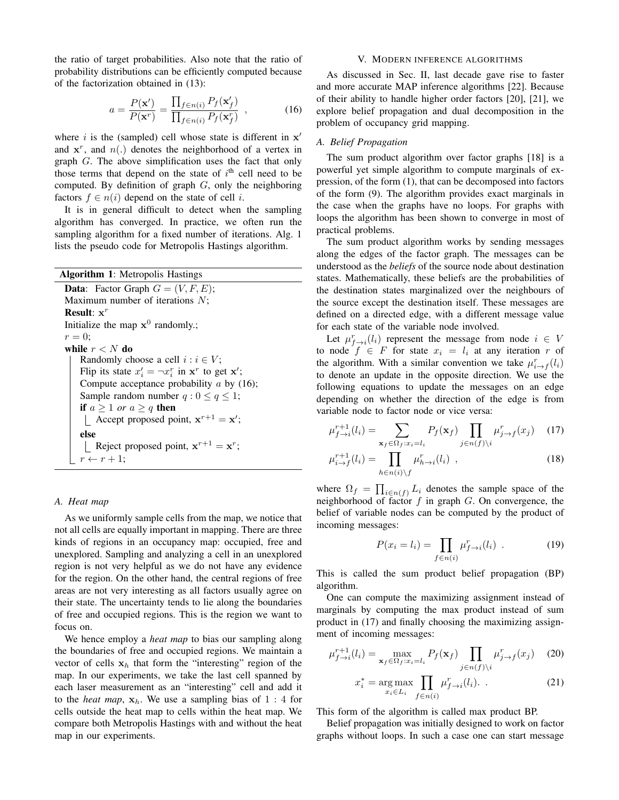the ratio of target probabilities. Also note that the ratio of probability distributions can be efficiently computed because of the factorization obtained in (13):

$$
a = \frac{P(\mathbf{x}')}{P(\mathbf{x}^r)} = \frac{\prod_{f \in n(i)} P_f(\mathbf{x}'_f)}{\prod_{f \in n(i)} P_f(\mathbf{x}^r_f)},
$$
(16)

where  $i$  is the (sampled) cell whose state is different in  $x'$ and  $x^r$ , and  $n(.)$  denotes the neighborhood of a vertex in graph G. The above simplification uses the fact that only those terms that depend on the state of  $i<sup>th</sup>$  cell need to be computed. By definition of graph  $G$ , only the neighboring factors  $f \in n(i)$  depend on the state of cell *i*.

It is in general difficult to detect when the sampling algorithm has converged. In practice, we often run the sampling algorithm for a fixed number of iterations. Alg. 1 lists the pseudo code for Metropolis Hastings algorithm.

| <b>Algorithm 1:</b> Metropolis Hastings                   |
|-----------------------------------------------------------|
| <b>Data:</b> Factor Graph $G = (V, F, E)$ ;               |
| Maximum number of iterations $N$ ;                        |
| <b>Result:</b> $x^r$                                      |
| Initialize the map $x^0$ randomly.;                       |
| $r=0$ :                                                   |
| while $r < N$ do                                          |
| Randomly choose a cell $i : i \in V$ ;                    |
| Flip its state $x'_i = \neg x_i^r$ in $x^r$ to get $x'$ ; |
| Compute acceptance probability $a$ by (16);               |
| Sample random number $q : 0 \leq q \leq 1$ ;              |
| if $a > 1$ or $a > q$ then                                |
| Accept proposed point, $x^{r+1} = x'$ ;                   |
| else                                                      |
| Reject proposed point, $x^{r+1} = x^r$ ;                  |
| $r \leftarrow r + 1$ :                                    |

# *A. Heat map*

As we uniformly sample cells from the map, we notice that not all cells are equally important in mapping. There are three kinds of regions in an occupancy map: occupied, free and unexplored. Sampling and analyzing a cell in an unexplored region is not very helpful as we do not have any evidence for the region. On the other hand, the central regions of free areas are not very interesting as all factors usually agree on their state. The uncertainty tends to lie along the boundaries of free and occupied regions. This is the region we want to focus on.

We hence employ a *heat map* to bias our sampling along the boundaries of free and occupied regions. We maintain a vector of cells  $x_h$  that form the "interesting" region of the map. In our experiments, we take the last cell spanned by each laser measurement as an "interesting" cell and add it to the *heat map*,  $x_h$ . We use a sampling bias of 1 : 4 for cells outside the heat map to cells within the heat map. We compare both Metropolis Hastings with and without the heat map in our experiments.

## V. MODERN INFERENCE ALGORITHMS

As discussed in Sec. II, last decade gave rise to faster and more accurate MAP inference algorithms [22]. Because of their ability to handle higher order factors [20], [21], we explore belief propagation and dual decomposition in the problem of occupancy grid mapping.

## *A. Belief Propagation*

The sum product algorithm over factor graphs [18] is a powerful yet simple algorithm to compute marginals of expression, of the form (1), that can be decomposed into factors of the form (9). The algorithm provides exact marginals in the case when the graphs have no loops. For graphs with loops the algorithm has been shown to converge in most of practical problems.

The sum product algorithm works by sending messages along the edges of the factor graph. The messages can be understood as the *beliefs* of the source node about destination states. Mathematically, these beliefs are the probabilities of the destination states marginalized over the neighbours of the source except the destination itself. These messages are defined on a directed edge, with a different message value for each state of the variable node involved.

Let  $\mu_{f \to i}^r(l_i)$  represent the message from node  $i \in V$ to node  $f \in F$  for state  $x_i = l_i$  at any iteration r of the algorithm. With a similar convention we take  $\mu_{i \to f}^r(l_i)$ to denote an update in the opposite direction. We use the following equations to update the messages on an edge depending on whether the direction of the edge is from variable node to factor node or vice versa:

$$
\mu_{f \to i}^{r+1}(l_i) = \sum_{\mathbf{x}_f \in \Omega_f: x_i = l_i} P_f(\mathbf{x}_f) \prod_{j \in n(f) \setminus i} \mu_{j \to f}^r(x_j) \tag{17}
$$

$$
\mu_{i \to f}^{r+1}(l_i) = \prod_{h \in n(i) \backslash f} \mu_{h \to i}^r(l_i) , \qquad (18)
$$

where  $\Omega_f = \prod_{i \in n(f)} L_i$  denotes the sample space of the neighborhood of factor  $f$  in graph  $G$ . On convergence, the belief of variable nodes can be computed by the product of incoming messages:

$$
P(x_i = l_i) = \prod_{f \in n(i)} \mu_{f \to i}^r(l_i) \tag{19}
$$

This is called the sum product belief propagation (BP) algorithm.

One can compute the maximizing assignment instead of marginals by computing the max product instead of sum product in (17) and finally choosing the maximizing assignment of incoming messages:

$$
\mu_{f \to i}^{r+1}(l_i) = \max_{\mathbf{x}_f \in \Omega_f: x_i = l_i} P_f(\mathbf{x}_f) \prod_{j \in n(f) \setminus i} \mu_{j \to f}^r(x_j) \tag{20}
$$

$$
x_i^* = \underset{x_i \in L_i}{\arg \max} \prod_{f \in n(i)} \mu_{f \to i}^r(l_i). \tag{21}
$$

This form of the algorithm is called max product BP.

Belief propagation was initially designed to work on factor graphs without loops. In such a case one can start message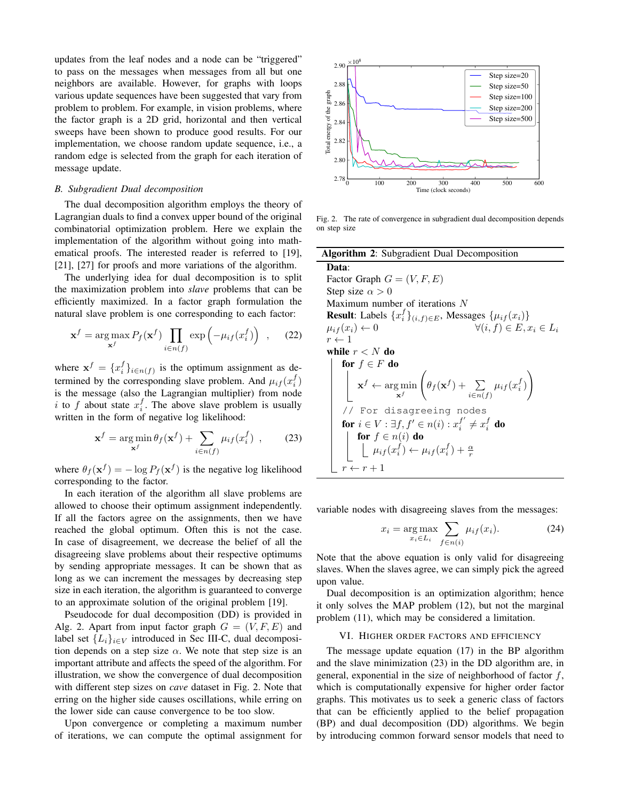updates from the leaf nodes and a node can be "triggered" to pass on the messages when messages from all but one neighbors are available. However, for graphs with loops various update sequences have been suggested that vary from problem to problem. For example, in vision problems, where the factor graph is a 2D grid, horizontal and then vertical sweeps have been shown to produce good results. For our implementation, we choose random update sequence, i.e., a random edge is selected from the graph for each iteration of message update.

## *B. Subgradient Dual decomposition*

The dual decomposition algorithm employs the theory of Lagrangian duals to find a convex upper bound of the original combinatorial optimization problem. Here we explain the implementation of the algorithm without going into mathematical proofs. The interested reader is referred to [19], [21], [27] for proofs and more variations of the algorithm.

The underlying idea for dual decomposition is to split the maximization problem into *slave* problems that can be efficiently maximized. In a factor graph formulation the natural slave problem is one corresponding to each factor:

$$
\mathbf{x}^{f} = \underset{\mathbf{x}^{f}}{\arg \max} P_{f}(\mathbf{x}^{f}) \prod_{i \in n(f)} \exp\left(-\mu_{if}(x_{i}^{f})\right) , \quad (22)
$$

where  $\mathbf{x}^f = \{x_i^f\}_{i \in n(f)}$  is the optimum assignment as determined by the corresponding slave problem. And  $\mu_{if}(x_i^f)$ is the message (also the Lagrangian multiplier) from node i to f about state  $x_i^f$ . The above slave problem is usually written in the form of negative log likelihood:

$$
\mathbf{x}^{f} = \arg\min_{\mathbf{x}^{f}} \theta_{f}(\mathbf{x}^{f}) + \sum_{i \in n(f)} \mu_{if}(x_{i}^{f}), \qquad (23)
$$

where  $\theta_f(\mathbf{x}^f) = -\log P_f(\mathbf{x}^f)$  is the negative log likelihood corresponding to the factor.

In each iteration of the algorithm all slave problems are allowed to choose their optimum assignment independently. If all the factors agree on the assignments, then we have reached the global optimum. Often this is not the case. In case of disagreement, we decrease the belief of all the disagreeing slave problems about their respective optimums by sending appropriate messages. It can be shown that as long as we can increment the messages by decreasing step size in each iteration, the algorithm is guaranteed to converge to an approximate solution of the original problem [19].

Pseudocode for dual decomposition (DD) is provided in Alg. 2. Apart from input factor graph  $G = (V, F, E)$  and label set  $\{L_i\}_{i\in V}$  introduced in Sec III-C, dual decomposition depends on a step size  $\alpha$ . We note that step size is an important attribute and affects the speed of the algorithm. For illustration, we show the convergence of dual decomposition with different step sizes on *cave* dataset in Fig. 2. Note that erring on the higher side causes oscillations, while erring on the lower side can cause convergence to be too slow.

Upon convergence or completing a maximum number of iterations, we can compute the optimal assignment for



Fig. 2. The rate of convergence in subgradient dual decomposition depends on step size

| Algorithm 2: Subgradient Dual Decomposition                                                                                                                      |
|------------------------------------------------------------------------------------------------------------------------------------------------------------------|
| Data:                                                                                                                                                            |
| Factor Graph $G = (V, F, E)$                                                                                                                                     |
| Step size $\alpha > 0$                                                                                                                                           |
| Maximum number of iterations N                                                                                                                                   |
| <b>Result:</b> Labels $\{x_i^f\}_{(i,f)\in E}$ , Messages $\{\mu_{if}(x_i)\}\$                                                                                   |
| $\forall (i, f) \in E, x_i \in L_i$<br>$\mu_{if}(x_i) \leftarrow 0$                                                                                              |
| $r \leftarrow 1$                                                                                                                                                 |
| while $r < N$ do                                                                                                                                                 |
| for $f \in F$ do                                                                                                                                                 |
| $\mathbf{x}^f \leftarrow \argmin_{\mathbf{x}^f} \left( \theta_f(\mathbf{x}^f) + \sum_{i \in n(f)} \mu_{if}(x_i^f) \right)$                                       |
| // For disagreeing nodes                                                                                                                                         |
| for $i \in V : \exists f, f' \in n(i) : x_i^{f'} \neq x_i^f$ do                                                                                                  |
|                                                                                                                                                                  |
| $\begin{array}{ c c } \hline \textbf{for} \; f\in n(i) \; \textbf{do} \\ \hline \; \; \mu_{if}(x_i^f) \leftarrow \mu_{if}(x_i^f) + \frac{\alpha}{r} \end{array}$ |
| $\leftarrow r+1$                                                                                                                                                 |

variable nodes with disagreeing slaves from the messages:

$$
x_i = \underset{x_i \in L_i}{\arg \max} \sum_{f \in n(i)} \mu_{if}(x_i). \tag{24}
$$

Note that the above equation is only valid for disagreeing slaves. When the slaves agree, we can simply pick the agreed upon value.

Dual decomposition is an optimization algorithm; hence it only solves the MAP problem (12), but not the marginal problem (11), which may be considered a limitation.

#### VI. HIGHER ORDER FACTORS AND EFFICIENCY

The message update equation (17) in the BP algorithm and the slave minimization (23) in the DD algorithm are, in general, exponential in the size of neighborhood of factor  $f$ , which is computationally expensive for higher order factor graphs. This motivates us to seek a generic class of factors that can be efficiently applied to the belief propagation (BP) and dual decomposition (DD) algorithms. We begin by introducing common forward sensor models that need to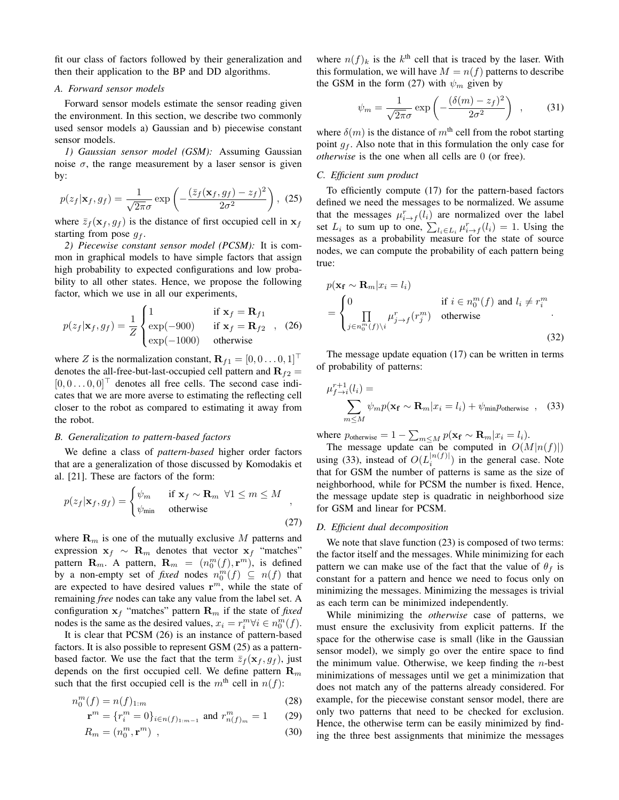fit our class of factors followed by their generalization and then their application to the BP and DD algorithms.

## *A. Forward sensor models*

Forward sensor models estimate the sensor reading given the environment. In this section, we describe two commonly used sensor models a) Gaussian and b) piecewise constant sensor models.

*1) Gaussian sensor model (GSM):* Assuming Gaussian noise  $\sigma$ , the range measurement by a laser sensor is given by:

$$
p(z_f|\mathbf{x}_f, g_f) = \frac{1}{\sqrt{2\pi}\sigma} \exp\left(-\frac{(\bar{z}_f(\mathbf{x}_f, g_f) - z_f)^2}{2\sigma^2}\right), \tag{25}
$$

where  $\bar{z}_f(\mathbf{x}_f, g_f)$  is the distance of first occupied cell in  $\mathbf{x}_f$ starting from pose  $g_f$ .

*2) Piecewise constant sensor model (PCSM):* It is common in graphical models to have simple factors that assign high probability to expected configurations and low probability to all other states. Hence, we propose the following factor, which we use in all our experiments,

$$
p(z_f|\mathbf{x}_f, g_f) = \frac{1}{Z} \begin{cases} 1 & \text{if } \mathbf{x}_f = \mathbf{R}_{f1} \\ \exp(-900) & \text{if } \mathbf{x}_f = \mathbf{R}_{f2} \\ \exp(-1000) & \text{otherwise} \end{cases}
$$
 (26)

where Z is the normalization constant,  $\mathbf{R}_{f1} = [0, 0 \dots 0, 1]$ <sup>T</sup> denotes the all-free-but-last-occupied cell pattern and  $\mathbf{R}_{f2} =$  $[0, 0 \dots 0, 0]^\top$  denotes all free cells. The second case indicates that we are more averse to estimating the reflecting cell closer to the robot as compared to estimating it away from the robot.

## *B. Generalization to pattern-based factors*

We define a class of *pattern-based* higher order factors that are a generalization of those discussed by Komodakis et al. [21]. These are factors of the form:

$$
p(z_f|\mathbf{x}_f, g_f) = \begin{cases} \psi_m & \text{if } \mathbf{x}_f \sim \mathbf{R}_m \ \forall 1 \le m \le M \\ \psi_{\text{min}} & \text{otherwise} \end{cases}
$$
\n(27)

where  $\mathbf{R}_m$  is one of the mutually exclusive M patterns and expression  $x_f \sim R_m$  denotes that vector  $x_f$  "matches" pattern  $\mathbf{R}_m$ . A pattern,  $\mathbf{R}_m = (n_0^m(f), \mathbf{r}^m)$ , is defined by a non-empty set of *fixed* nodes  $n_0^m(f) \subseteq n(f)$  that are expected to have desired values  $r^m$ , while the state of remaining *free* nodes can take any value from the label set. A configuration  $x_f$  "matches" pattern  $\mathbf{R}_m$  if the state of *fixed* nodes is the same as the desired values,  $x_i = r_i^m \forall i \in n_0^m(f)$ .

It is clear that PCSM (26) is an instance of pattern-based factors. It is also possible to represent GSM (25) as a patternbased factor. We use the fact that the term  $\bar{z}_f(\mathbf{x}_f, g_f)$ , just depends on the first occupied cell. We define pattern  $\mathbf{R}_m$ such that the first occupied cell is the  $m<sup>th</sup>$  cell in  $n(f)$ :

$$
n_0^m(f) = n(f)_{1:m} \tag{28}
$$

$$
\mathbf{r}^m = \{r_i^m = 0\}_{i \in n(f)_{1:m-1}} \text{ and } r_{n(f)_m}^m = 1 \qquad (29)
$$

$$
R_m = (n_0^m, \mathbf{r}^m) \tag{30}
$$

where  $n(f)_k$  is the  $k^{\text{th}}$  cell that is traced by the laser. With this formulation, we will have  $M = n(f)$  patterns to describe the GSM in the form (27) with  $\psi_m$  given by

$$
\psi_m = \frac{1}{\sqrt{2\pi}\sigma} \exp\left(-\frac{(\delta(m) - z_f)^2}{2\sigma^2}\right) ,\qquad(31)
$$

where  $\delta(m)$  is the distance of  $m<sup>th</sup>$  cell from the robot starting point  $g_f$ . Also note that in this formulation the only case for *otherwise* is the one when all cells are 0 (or free).

## *C. Efficient sum product*

To efficiently compute (17) for the pattern-based factors defined we need the messages to be normalized. We assume that the messages  $\mu_{i \to f}^r(l_i)$  are normalized over the label set  $L_i$  to sum up to one,  $\sum_{l_i \in L_i} \mu_{i \to f}^r(l_i) = 1$ . Using the messages as a probability measure for the state of source nodes, we can compute the probability of each pattern being true:

$$
p(\mathbf{x_f} \sim \mathbf{R}_m | x_i = l_i)
$$
  
= 
$$
\begin{cases} 0 & \text{if } i \in n_0^m(f) \text{ and } l_i \neq r_i^m \\ \prod_{j \in n_0^m(f) \setminus i} \mu_{j \to f}^r(r_j^m) & \text{otherwise} \end{cases}
$$
 (32)

The message update equation (17) can be written in terms of probability of patterns:

$$
\mu_{f \to i}^{r+1}(l_i) = \sum_{m \le M} \psi_m p(\mathbf{x_f} \sim \mathbf{R}_m | x_i = l_i) + \psi_{\text{min}} p_{\text{otherwise}} , \quad (33)
$$

where  $p_{\text{otherwise}} = 1 - \sum_{m \le M} p(\mathbf{x_f} \sim \mathbf{R}_m | x_i = l_i).$ 

The message update can be computed in  $O(M|n(f)|)$ using (33), instead of  $O(L_i^{|n(f)|})$  in the general case. Note that for GSM the number of patterns is same as the size of neighborhood, while for PCSM the number is fixed. Hence, the message update step is quadratic in neighborhood size for GSM and linear for PCSM.

#### *D. Efficient dual decomposition*

We note that slave function  $(23)$  is composed of two terms: the factor itself and the messages. While minimizing for each pattern we can make use of the fact that the value of  $\theta_f$  is constant for a pattern and hence we need to focus only on minimizing the messages. Minimizing the messages is trivial as each term can be minimized independently.

While minimizing the *otherwise* case of patterns, we must ensure the exclusivity from explicit patterns. If the space for the otherwise case is small (like in the Gaussian sensor model), we simply go over the entire space to find the minimum value. Otherwise, we keep finding the  $n$ -best minimizations of messages until we get a minimization that does not match any of the patterns already considered. For example, for the piecewise constant sensor model, there are only two patterns that need to be checked for exclusion. Hence, the otherwise term can be easily minimized by finding the three best assignments that minimize the messages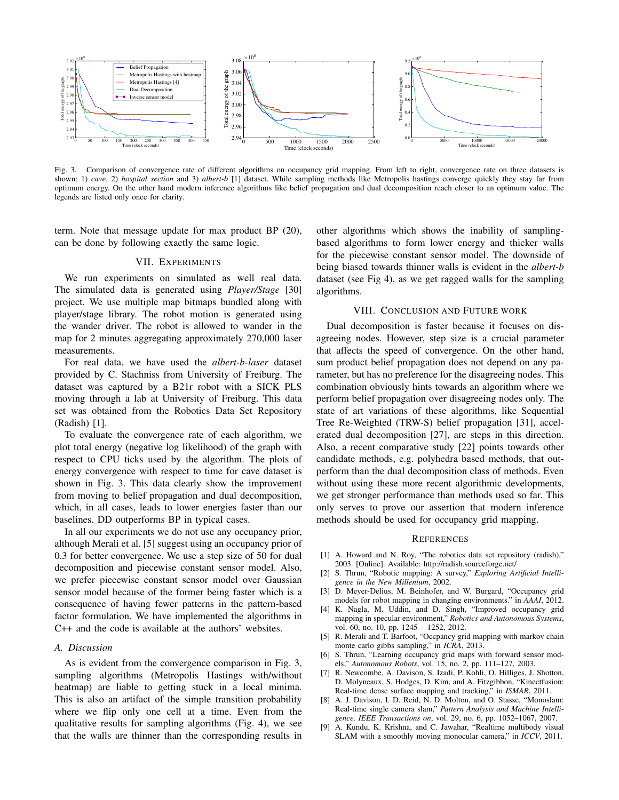

Fig. 3. Comparison of convergence rate of different algorithms on occupancy grid mapping. From left to right, convergence rate on three datasets is shown: 1) *cave*, 2) *hospital section* and 3) *albert-b* [1] dataset. While sampling methods like Metropolis hastings converge quickly they stay far from optimum energy. On the other hand modern inference algorithms like belief propagation and dual decomposition reach closer to an optimum value. The legends are listed only once for clarity.

term. Note that message update for max product BP (20), can be done by following exactly the same logic.

# VII. EXPERIMENTS

We run experiments on simulated as well real data. The simulated data is generated using *Player/Stage* [30] project. We use multiple map bitmaps bundled along with player/stage library. The robot motion is generated using the wander driver. The robot is allowed to wander in the map for 2 minutes aggregating approximately 270,000 laser measurements.

For real data, we have used the *albert-b-laser* dataset provided by C. Stachniss from University of Freiburg. The dataset was captured by a B21r robot with a SICK PLS moving through a lab at University of Freiburg. This data set was obtained from the Robotics Data Set Repository (Radish) [1].

To evaluate the convergence rate of each algorithm, we plot total energy (negative log likelihood) of the graph with respect to CPU ticks used by the algorithm. The plots of energy convergence with respect to time for cave dataset is shown in Fig. 3. This data clearly show the improvement from moving to belief propagation and dual decomposition, which, in all cases, leads to lower energies faster than our baselines. DD outperforms BP in typical cases.

In all our experiments we do not use any occupancy prior, although Merali et al. [5] suggest using an occupancy prior of 0.3 for better convergence. We use a step size of 50 for dual decomposition and piecewise constant sensor model. Also, we prefer piecewise constant sensor model over Gaussian sensor model because of the former being faster which is a consequence of having fewer patterns in the pattern-based factor formulation. We have implemented the algorithms in C++ and the code is available at the authors' websites.

#### *A. Discussion*

As is evident from the convergence comparison in Fig. 3, sampling algorithms (Metropolis Hastings with/without heatmap) are liable to getting stuck in a local minima. This is also an artifact of the simple transition probability where we flip only one cell at a time. Even from the qualitative results for sampling algorithms (Fig. 4), we see that the walls are thinner than the corresponding results in

other algorithms which shows the inability of samplingbased algorithms to form lower energy and thicker walls for the piecewise constant sensor model. The downside of being biased towards thinner walls is evident in the *albert-b* dataset (see Fig 4), as we get ragged walls for the sampling algorithms.

## VIII. CONCLUSION AND FUTURE WORK

Dual decomposition is faster because it focuses on disagreeing nodes. However, step size is a crucial parameter that affects the speed of convergence. On the other hand, sum product belief propagation does not depend on any parameter, but has no preference for the disagreeing nodes. This combination obviously hints towards an algorithm where we perform belief propagation over disagreeing nodes only. The state of art variations of these algorithms, like Sequential Tree Re-Weighted (TRW-S) belief propagation [31], accelerated dual decomposition [27], are steps in this direction. Also, a recent comparative study [22] points towards other candidate methods, e.g. polyhedra based methods, that outperform than the dual decomposition class of methods. Even without using these more recent algorithmic developments, we get stronger performance than methods used so far. This only serves to prove our assertion that modern inference methods should be used for occupancy grid mapping.

#### **REFERENCES**

- [1] A. Howard and N. Roy, "The robotics data set repository (radish)," 2003. [Online]. Available: http://radish.sourceforge.net/
- [2] S. Thrun, "Robotic mapping: A survey," *Exploring Artificial Intelligence in the New Millenium*, 2002.
- [3] D. Meyer-Delius, M. Beinhofer, and W. Burgard, "Occupancy grid models for robot mapping in changing environments." in *AAAI*, 2012.
- [4] K. Nagla, M. Uddin, and D. Singh, "Improved occupancy grid mapping in specular environment," *Robotics and Autonomous Systems*, vol. 60, no. 10, pp. 1245 – 1252, 2012.
- [5] R. Merali and T. Barfoot, "Occpancy grid mapping with markov chain monte carlo gibbs sampling," in *ICRA*, 2013.
- [6] S. Thrun, "Learning occupancy grid maps with forward sensor models," *Autonomous Robots*, vol. 15, no. 2, pp. 111–127, 2003.
- [7] R. Newcombe, A. Davison, S. Izadi, P. Kohli, O. Hilliges, J. Shotton, D. Molyneaux, S. Hodges, D. Kim, and A. Fitzgibbon, "Kinectfusion: Real-time dense surface mapping and tracking," in *ISMAR*, 2011.
- [8] A. J. Davison, I. D. Reid, N. D. Molton, and O. Stasse, "Monoslam: Real-time single camera slam," *Pattern Analysis and Machine Intelligence, IEEE Transactions on*, vol. 29, no. 6, pp. 1052–1067, 2007.
- [9] A. Kundu, K. Krishna, and C. Jawahar, "Realtime multibody visual SLAM with a smoothly moving monocular camera," in *ICCV*, 2011.